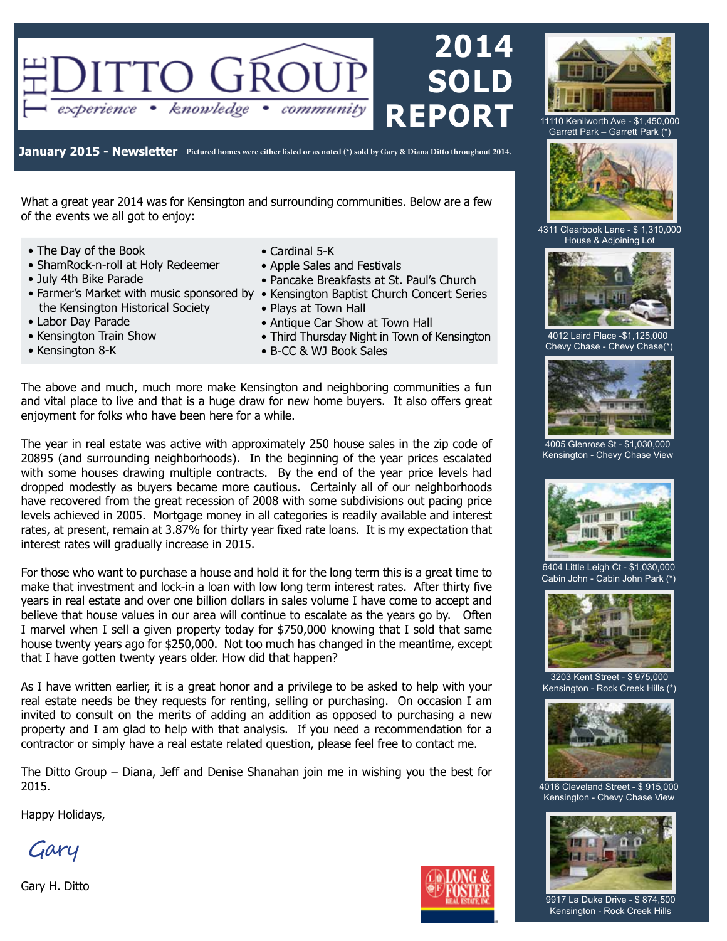

**January 2015 - Newsletter Pictured homes were either listed or as noted (\*) sold by Gary & Diana Ditto throughout 2014.**

What a great year 2014 was for Kensington and surrounding communities. Below are a few of the events we all got to enjoy:

- The Day of the Book
- ShamRock-n-roll at Holy Redeemer
- July 4th Bike Parade
- Farmer's Market with music sponsored by Kensington Baptist Church Concert Series the Kensington Historical Society
- Labor Day Parade
- Kensington Train Show
- Kensington 8-K
- Cardinal 5-K
- Apple Sales and Festivals
- Pancake Breakfasts at St. Paul's Church
- 
- Plays at Town Hall
- Antique Car Show at Town Hall
- Third Thursday Night in Town of Kensington
- B-CC & WJ Book Sales

The above and much, much more make Kensington and neighboring communities a fun and vital place to live and that is a huge draw for new home buyers. It also offers great enjoyment for folks who have been here for a while.

The year in real estate was active with approximately 250 house sales in the zip code of 20895 (and surrounding neighborhoods). In the beginning of the year prices escalated with some houses drawing multiple contracts. By the end of the year price levels had dropped modestly as buyers became more cautious. Certainly all of our neighborhoods have recovered from the great recession of 2008 with some subdivisions out pacing price levels achieved in 2005. Mortgage money in all categories is readily available and interest rates, at present, remain at 3.87% for thirty year fixed rate loans. It is my expectation that interest rates will gradually increase in 2015.

For those who want to purchase a house and hold it for the long term this is a great time to make that investment and lock-in a loan with low long term interest rates. After thirty five years in real estate and over one billion dollars in sales volume I have come to accept and believe that house values in our area will continue to escalate as the years go by. Often I marvel when I sell a given property today for \$750,000 knowing that I sold that same house twenty years ago for \$250,000. Not too much has changed in the meantime, except that I have gotten twenty years older. How did that happen?

As I have written earlier, it is a great honor and a privilege to be asked to help with your real estate needs be they requests for renting, selling or purchasing. On occasion I am invited to consult on the merits of adding an addition as opposed to purchasing a new property and I am glad to help with that analysis. If you need a recommendation for a contractor or simply have a real estate related question, please feel free to contact me.

The Ditto Group – Diana, Jeff and Denise Shanahan join me in wishing you the best for 2015.

Happy Holidays,

Gary

Gary H. Ditto





11110 Kenilworth Ave - \$1,450,000 Garrett Park – Garrett Park (\*)



4311 Clearbook Lane - \$ 1,310,000 House & Adjoining Lot



4012 Laird Place -\$1,125,000 Chevy Chase - Chevy Chase(\*)



4005 Glenrose St - \$1,030,000 Kensington - Chevy Chase View



6404 Little Leigh Ct - \$1,030,000 Cabin John - Cabin John Park (\*)



3203 Kent Street - \$ 975,000 Kensington - Rock Creek Hills (\*)



4016 Cleveland Street - \$ 915,000 Kensington - Chevy Chase View



9917 La Duke Drive - \$ 874,500 Kensington - Rock Creek Hills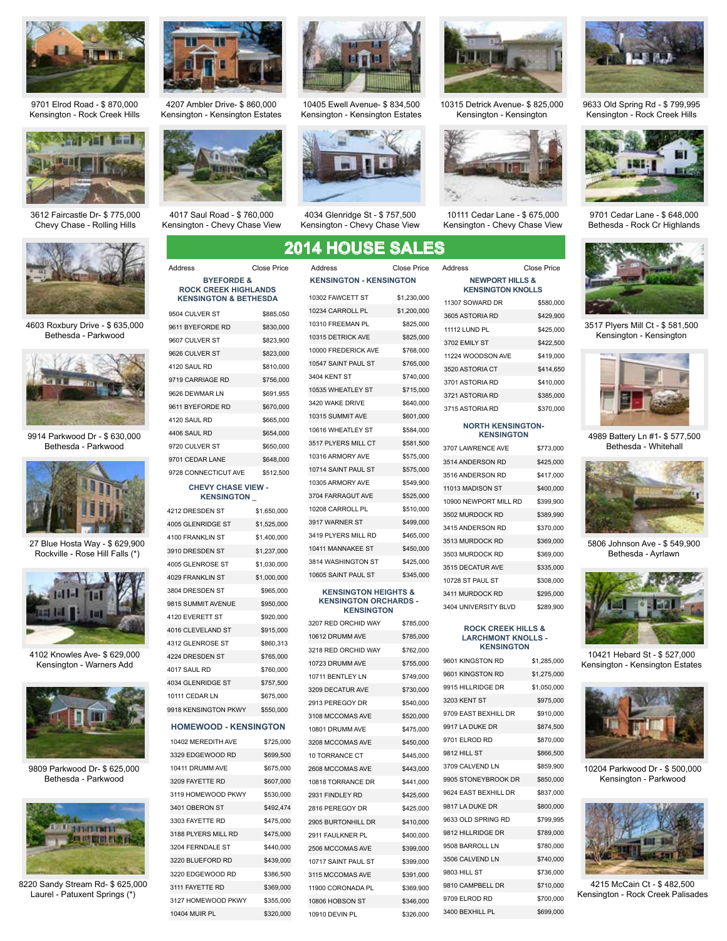

9701 Elrod Road - \$ 870,000 Kensington - Rock Creek Hills



3612 Faircastle Dr- \$ 775,000 Chevy Chase - Rolling Hills



4603 Roxbury Drive - \$ 635,000 Bethesda - Parkwood



9914 Parkwood Dr - \$ 630,000 Bethesda - Parkwood



27 Blue Hosta Way - \$ 629,900 Rockville - Rose Hill Falls (\*)



4102 Knowles Ave- \$ 629,000 Kensington - Warners Add



9809 Parkwood Dr- \$ 625,000 Bethesda - Parkwood



8220 Sandy Stream Rd- \$ 625,000 Laurel - Patuxent Springs (\*)



4207 Ambler Drive- \$ 860,000 Kensington - Kensington Estates



4017 Saul Road - \$ 760,000 Kensington - Chevy Chase View

**BYEFORDE & ROCK CREEK HIGHLANDS KENSINGTON & BETHESDA**

| 9504 CULVER ST       | \$885,050 |
|----------------------|-----------|
| 9611 BYEFORDE RD     | \$830,000 |
| 9607 CULVER ST       | \$823,900 |
| 9626 CULVER ST       | \$823,000 |
| 4120 SAUL RD         | \$810,000 |
| 9719 CARRIAGE RD     | \$756,000 |
| 9626 DEWMAR LN       | \$691.955 |
| 9611 BYEFORDE RD     | \$670,000 |
| 4120 SAUL RD         | \$665,000 |
| 4406 SAUL RD         | \$654.000 |
| 9720 CULVER ST       | \$650,000 |
| 9701 CEDAR LANE      | \$648,000 |
| 9728 CONNECTICUT AVE | \$512,500 |

#### **CHEVY CHASE VIEW - KENSINGTON \_**

| 4212 DRESDEN ST          | \$1,650,000 |
|--------------------------|-------------|
| 4005 GLENRIDGE ST        | \$1,525,000 |
| <b>4100 FRANKLIN ST</b>  | \$1,400,000 |
| 3910 DRESDEN ST          | \$1.237.000 |
| <b>4005 GLENROSE ST</b>  | \$1,030,000 |
| <b>4029 FRANKLIN ST</b>  | \$1,000,000 |
| 3804 DRESDEN ST          | \$965,000   |
| 9815 SUMMIT AVENUE       | \$950,000   |
| <b>4120 EVERETT ST</b>   | \$920,000   |
| <b>4016 CLEVELAND ST</b> | \$915,000   |
| 4312 GLENROSE ST         | \$860,313   |
| <b>4224 DRESDEN ST</b>   | \$765,000   |
| 4017 SAUL RD             | \$760,000   |
| <b>4034 GLENRIDGE ST</b> | \$757,500   |
| 10111 CEDAR LN           | \$675,000   |
| 9918 KENSINGTON PKWY     | \$550,000   |
|                          |             |

#### **HOMEWOOD - KENSINGTON**

10402 MEREDITH AVE \$725,000 3329 EDGEWOOD RD \$699,500 10411 DRUMM AVE \$675,000 3209 FAYETTE RD \$607,000 3119 HOMEWOOD PKWY \$530,000 3401 OBERON ST \$492,474 3303 FAYETTE RD \$475,000 3188 PLYERS MILL RD \$475,000 3204 FERNDALE ST \$440,000 3220 BLUEFORD RD \$439,000 3220 EDGEWOOD RD \$386,500 3111 FAYETTE RD \$369,000 3127 HOMEWOOD PKWY \$355,000 10404 MUIR PL \$320,000



10405 Ewell Avenue- \$ 834,500 Kensington - Kensington Estates



4034 Glenridge St - \$ 757,500 Kensington - Chevy Chase View

### **2014 HOUSE SALES**

| 10302 FAWCETT ST      | \$1,230,000 |
|-----------------------|-------------|
| 10234 CARROLL PL      | \$1,200,000 |
| 10310 FREEMAN PL      | \$825,000   |
| 10315 DETRICK AVE     | \$825,000   |
| 10000 FREDERICK AVE   | \$768,000   |
| 10547 SAINT PAUL ST   | \$765,000   |
| 3404 KENT ST          | \$740,000   |
| 10535 WHEATLEY ST     | \$715,000   |
| 3420 WAKE DRIVE       | \$640,000   |
| 10315 SUMMIT AVE      | \$601,000   |
| 10616 WHEATLEY ST     | \$584,000   |
| 3517 PLYERS MILL CT   | \$581,500   |
| 10316 ARMORY AVE      | \$575,000   |
| 10714 SAINT PAUL ST   | \$575,000   |
| 10305 ARMORY AVE      | \$549,900   |
| 3704 FARRAGUT AVE     | \$525,000   |
| 10208 CARROLL PL      | \$510,000   |
| 3917 WARNER ST        | \$499,000   |
| 3419 PLYERS MILL RD   | \$465,000   |
| 10411 MANNAKEE ST     | \$450,000   |
| 3814 WASHINGTON ST    | \$425,000   |
| 10605 SAINT PAUL ST   | \$345.000   |
| <b>KENGINGTON UEL</b> |             |

#### **KENSINGTON HEIGHTS & KENSINGTON ORCHARDS - KENSINGTON**

| 3207 RED ORCHID WAY | \$785,000 |
|---------------------|-----------|
| 10612 DRUMM AVE     | \$785,000 |
| 3218 RED ORCHID WAY | \$762,000 |
| 10723 DRUMM AVE     | \$755,000 |
| 10711 BENTLEY LN    | \$749,000 |
| 3209 DECATUR AVE    | \$730,000 |
| 2913 PEREGOY DR     | \$540,000 |
| 3108 MCCOMAS AVE    | \$520,000 |
| 10801 DRUMM AVE     | \$475,000 |
| 3208 MCCOMAS AVE    | \$450,000 |
| 10 TORRANCE CT      | \$445,000 |
| 2608 MCCOMAS AVE    | \$443.000 |
| 10818 TORRANCE DR   | \$441,000 |
| 2931 FINDLEY RD     | \$425,000 |
| 2816 PEREGOY DR     | \$425,000 |
| 2905 BURTONHILL DR  | \$410,000 |
| 2911 FAULKNER PL    | \$400,000 |
| 2506 MCCOMAS AVE    | \$399,000 |
| 10717 SAINT PAUL ST | \$399,000 |
| 3115 MCCOMAS AVE    | \$391,000 |
| 11900 CORONADA PL   | \$369,900 |
| 10806 HOBSON ST     | \$346,000 |
| 10910 DEVIN PL      | \$326,000 |



10315 Detrick Avenue- \$ 825,000 Kensington - Kensington



10111 Cedar Lane - \$ 675,000 Kensington - Chevy Chase View

9633 Old Spring Rd - \$ 799,995 Kensington - Rock Creek Hills



9701 Cedar Lane - \$ 648,000 Bethesda - Rock Cr Highlands



3517 Plyers Mill Ct - \$ 581,500 Kensington - Kensington



4989 Battery Ln #1- \$ 577,500 Bethesda - Whitehall



5806 Johnson Ave - \$ 549,900 Bethesda - Ayrlawn



10421 Hebard St - \$ 527,000 Kensington - Kensington Estates



10204 Parkwood Dr - \$ 500,000 Kensington - Parkwood



4215 McCain Ct - \$ 482,500 Kensington - Rock Creek Palisades

| AWCETT ST         | \$1.230.000 | 11307 \$ |
|-------------------|-------------|----------|
| <b>ARROLL PL</b>  | \$1,200,000 | 3605A    |
| <b>REEMAN PL</b>  | \$825,000   |          |
| <b>ETRICK AVE</b> | \$825.000   | 11112L   |
| REDERICK AVE      | \$768,000   | 3702 EI  |
| AINT PAUL ST      | \$765.000   | 11224 \  |
|                   |             | 3520 A   |
| NT ST             | \$740,000   | 3701 AS  |
| <b>HEATLEY ST</b> | \$715,000   |          |



**KENSINGTON - KENSINGTON** Address Close Price Address Close Price Address Close Price

|                  | Close Price | Address                                                | Close Price                    |  |
|------------------|-------------|--------------------------------------------------------|--------------------------------|--|
| <b>ENSINGTON</b> |             | <b>NEWPORT HILLS &amp;</b><br><b>KENSINGTON KNOLLS</b> |                                |  |
|                  | \$1,230,000 | 11307 SOWARD DR                                        | \$580,000                      |  |
|                  | \$1,200,000 | 3605 ASTORIA RD                                        | \$429,900                      |  |
|                  | \$825,000   | 11112 LUND PL                                          | \$425,000                      |  |
|                  | \$825,000   | 3702 EMILY ST                                          | \$422,500                      |  |
| E                | \$768,000   | 11224 WOODSON AVE                                      | \$419,000                      |  |
|                  | \$765,000   | <b>2520 ACTORIA CT</b>                                 | $Q$ $A$ $A$ $A$ $Q$ $E$ $\cap$ |  |

| 11112 LUND PL     | \$425,000 |
|-------------------|-----------|
| 3702 EMILY ST     | \$422.500 |
| 11224 WOODSON AVE | \$419,000 |
| 3520 ASTORIA CT   | \$414.650 |
| 3701 ASTORIA RD   | \$410,000 |
| 3721 ASTORIA RD   | \$385.000 |
| 3715 ASTORIA RD   | \$370,000 |

#### **NORTH KENSINGTON-KENSINGTON**

| 3707 LAWRENCE AVE     | \$773,000 |
|-----------------------|-----------|
| 3514 ANDERSON RD      | \$425,000 |
| 3516 ANDERSON RD      | \$417,000 |
| 11013 MADISON ST      | \$400,000 |
| 10900 NEWPORT MILL RD | \$399,900 |
| 3502 MURDOCK RD       | \$389,990 |
| 3415 ANDERSON RD      | \$370,000 |
| 3513 MURDOCK RD       | \$369,000 |
| 3503 MURDOCK RD       | \$369,000 |
| 3515 DECATUR AVE      | \$335,000 |
| 10728 ST PAUL ST      | \$308,000 |
| 3411 MURDOCK RD       | \$295,000 |
| 3404 UNIVERSITY BLVD  | \$289.900 |

#### **ROCK CREEK HILLS & LARCHMONT KNOLLS - KENSINGTON**

| 9601 KINGSTON RD     | \$1,285,000 |
|----------------------|-------------|
| 9601 KINGSTON RD     | \$1,275,000 |
| 9915 HILLRIDGE DR    | \$1,050,000 |
| 3203 KENT ST         | \$975,000   |
| 9709 EAST BEXHILL DR | \$910,000   |
| 9917 LA DUKE DR      | \$874,500   |
| 9701 ELROD RD        | \$870,000   |
| 9812 HILL ST         | \$866,500   |
| 3709 CALVEND LN      | \$859,900   |
| 9905 STONEYBROOK DR  | \$850,000   |
| 9624 EAST BEXHILL DR | \$837,000   |
| 9817 LA DUKE DR      | \$800,000   |
| 9633 OLD SPRING RD   | \$799,995   |
| 9812 HILLRIDGE DR    | \$789,000   |
| 9508 BARROLL LN      | \$780,000   |
| 3506 CALVEND LN      | \$740,000   |
| 9803 HILL ST         | \$736,000   |
| 9810 CAMPBELL DR     | \$710,000   |
| 9709 ELROD RD        | \$700,000   |
| 3400 BEXHILL PL      | \$699,000   |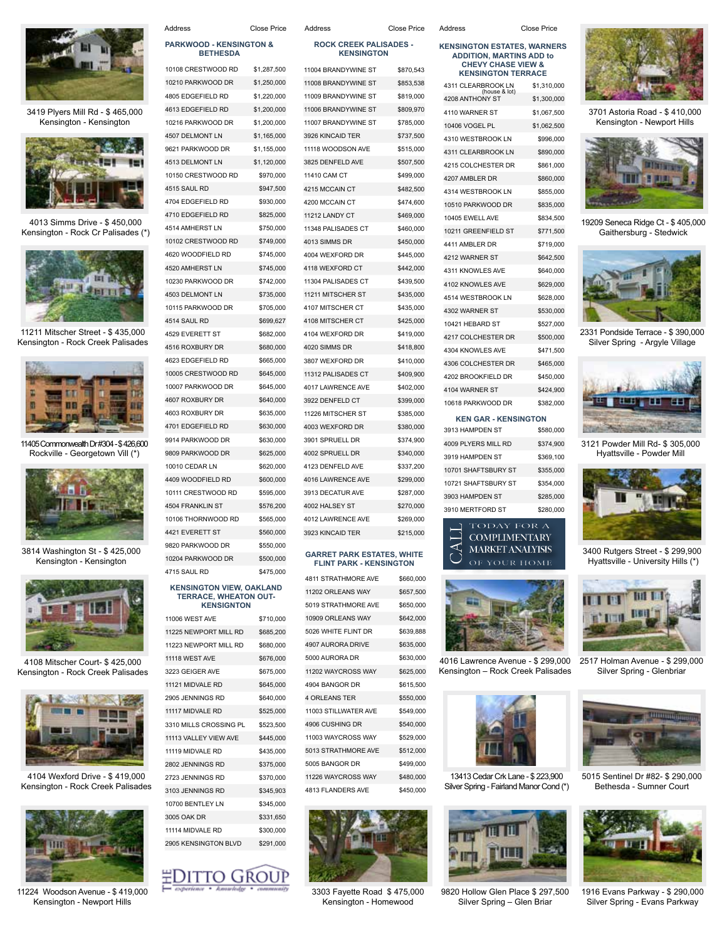

3419 Plyers Mill Rd - \$ 465,000 Kensington - Kensington



4013 Simms Drive - \$ 450,000 Kensington - Rock Cr Palisades (\*)



11211 Mitscher Street - \$ 435,000 Kensington - Rock Creek Palisades



11405 Commonwealth Dr #304 - \$ 426,600 Rockville - Georgetown Vill (\*)



3814 Washington St - \$ 425,000 Kensington - Kensington



4108 Mitscher Court- \$ 425,000 Kensington - Rock Creek Palisades



4104 Wexford Drive - \$ 419,000 Kensington - Rock Creek Palisades



11224 Woodson Avenue - \$ 419,000 Kensington - Newport Hills

| Address                                               | Close Price | Address                                                             | Close Price | Address                                                             | <b>Close Price</b> |
|-------------------------------------------------------|-------------|---------------------------------------------------------------------|-------------|---------------------------------------------------------------------|--------------------|
| <b>PARKWOOD - KENSINGTON &amp;</b><br><b>BETHESDA</b> |             | <b>ROCK CREEK PALISADES -</b><br><b>KENSINGTON</b>                  |             | <b>KENSINGTON ESTATES, WARNE</b><br><b>ADDITION, MARTINS ADD to</b> |                    |
| 10108 CRESTWOOD RD                                    | \$1,287,500 | 11004 BRANDYWINE ST                                                 | \$870,543   | <b>CHEVY CHASE VIEW &amp;</b><br><b>KENSINGTON TERRACE</b>          |                    |
| 10210 PARKWOOD DR                                     | \$1,250,000 | 11008 BRANDYWINE ST                                                 | \$853,538   | 4311 CLEARBROOK LN                                                  | \$1,310,0          |
| 4805 EDGEFIELD RD                                     | \$1,220,000 | 11009 BRANDYWINE ST                                                 | \$819,000   | (house & lot)<br>4208 ANTHONY ST                                    | \$1,300,0          |
| 4613 EDGEFIELD RD                                     | \$1,200,000 | 11006 BRANDYWINE ST                                                 | \$809,970   | 4110 WARNER ST                                                      | \$1,067,5          |
| 10216 PARKWOOD DR                                     | \$1,200,000 | 11007 BRANDYWINE ST                                                 | \$785,000   | 10406 VOGEL PL                                                      | \$1,062,5          |
| 4507 DELMONT LN                                       | \$1,165,000 | 3926 KINCAID TER                                                    | \$737,500   | 4310 WESTBROOK LN                                                   | \$996,0            |
| 9621 PARKWOOD DR                                      | \$1,155,000 | 11118 WOODSON AVE                                                   | \$515,000   | 4311 CLEARBROOK LN                                                  | \$890,0            |
| 4513 DELMONT LN                                       | \$1,120,000 | 3825 DENFELD AVE                                                    | \$507,500   | 4215 COLCHESTER DR                                                  | \$861,0            |
| 10150 CRESTWOOD RD                                    | \$970,000   | 11410 CAM CT                                                        | \$499,000   | 4207 AMBLER DR                                                      | \$860,0            |
| 4515 SAUL RD                                          | \$947,500   | 4215 MCCAIN CT                                                      | \$482,500   | 4314 WESTBROOK LN                                                   | \$855,0            |
| 4704 EDGEFIELD RD                                     | \$930,000   | 4200 MCCAIN CT                                                      | \$474,600   | 10510 PARKWOOD DR                                                   | \$835,0            |
| 4710 EDGEFIELD RD                                     | \$825,000   | 11212 LANDY CT                                                      | \$469,000   | 10405 EWELL AVE                                                     | \$834,5            |
| 4514 AMHERST LN                                       | \$750,000   | 11348 PALISADES CT                                                  | \$460,000   | 10211 GREENFIELD ST                                                 | \$771,5            |
| 10102 CRESTWOOD RD                                    | \$749,000   | 4013 SIMMS DR                                                       | \$450,000   | 4411 AMBLER DR                                                      | \$719,0            |
| 4620 WOODFIELD RD                                     | \$745,000   | 4004 WEXFORD DR                                                     | \$445,000   | 4212 WARNER ST                                                      | \$642,5            |
| 4520 AMHERST LN                                       | \$745,000   | 4118 WEXFORD CT                                                     | \$442,000   | 4311 KNOWLES AVE                                                    | \$640,0            |
| 10230 PARKWOOD DR                                     | \$742,000   | 11304 PALISADES CT                                                  | \$439,500   | 4102 KNOWLES AVE                                                    | \$629.0            |
| 4503 DELMONT LN                                       | \$735,000   | 11211 MITSCHER ST                                                   | \$435,000   | 4514 WESTBROOK LN                                                   | \$628,0            |
| 10115 PARKWOOD DR                                     | \$705,000   | 4107 MITSCHER CT                                                    | \$435,000   | 4302 WARNER ST                                                      | \$530,0            |
| 4514 SAUL RD                                          | \$699,627   | 4108 MITSCHER CT                                                    | \$425,000   | 10421 HEBARD ST                                                     | \$527,0            |
| 4529 EVERETT ST                                       | \$682,000   | 4104 WEXFORD DR                                                     | \$419,000   | 4217 COLCHESTER DR                                                  | \$500,0            |
| 4516 ROXBURY DR                                       | \$680,000   | 4020 SIMMS DR                                                       | \$418,800   | 4304 KNOWLES AVE                                                    | \$471,5            |
| 4623 EDGEFIELD RD                                     | \$665,000   | 3807 WEXFORD DR                                                     | \$410,000   | 4306 COLCHESTER DR                                                  | \$465,0            |
| 10005 CRESTWOOD RD                                    | \$645,000   | 11312 PALISADES CT                                                  | \$409,900   | 4202 BROOKFIELD DR                                                  | \$450,0            |
| 10007 PARKWOOD DR                                     | \$645,000   | 4017 LAWRENCE AVE                                                   | \$402,000   | 4104 WARNER ST                                                      | \$424,9            |
| 4607 ROXBURY DR                                       | \$640,000   | 3922 DENFELD CT                                                     | \$399,000   | 10618 PARKWOOD DR                                                   | \$382,0            |
| 4603 ROXBURY DR                                       | \$635,000   | 11226 MITSCHER ST                                                   | \$385,000   | <b>KEN GAR - KENSINGTON</b>                                         |                    |
| 4701 EDGEFIELD RD                                     | \$630,000   | 4003 WEXFORD DR                                                     | \$380,000   | 3913 HAMPDEN ST                                                     | \$580,0            |
| 9914 PARKWOOD DR                                      | \$630,000   | 3901 SPRUELL DR                                                     | \$374,900   | 4009 PLYERS MILL RD                                                 | \$374,9            |
| 9809 PARKWOOD DR                                      | \$625,000   | 4002 SPRUELL DR                                                     | \$340,000   | 3919 HAMPDEN ST                                                     | \$369,1            |
| 10010 CEDAR LN                                        | \$620,000   | 4123 DENFELD AVE                                                    | \$337,200   | 10701 SHAFTSBURY ST                                                 | \$355,0            |
| 4409 WOODFIELD RD                                     | \$600,000   | 4016 LAWRENCE AVE                                                   | \$299,000   | 10721 SHAFTSBURY ST                                                 | \$354,0            |
| 10111 CRESTWOOD RD                                    | \$595,000   | 3913 DECATUR AVE                                                    | \$287,000   | 3903 HAMPDEN ST                                                     | \$285,0            |
| 4504 FRANKLIN ST                                      | \$576,200   | 4002 HALSEY ST                                                      | \$270,000   | 3910 MERTFORD ST                                                    | \$280,0            |
| 10106 THORNWOOD RD                                    | \$565,000   | 4012 LAWRENCE AVE                                                   | \$269,000   |                                                                     |                    |
| 4421 EVERETT ST                                       | \$560,000   | 3923 KINCAID TER                                                    | \$215,000   | <b>TODAY FOR A</b><br><b>COMPLIMENTARY</b>                          |                    |
| 9820 PARKWOOD DR                                      | \$550,000   |                                                                     |             | ◁<br><b>MARKET ANALYISIS</b>                                        |                    |
| 10204 PARKWOOD DR                                     | \$500,000   | <b>GARRET PARK ESTATES, WHITE</b><br><b>FLINT PARK - KENSINGTON</b> |             | OF YOUR HOME                                                        |                    |
| 4715 SAUL RD                                          | \$475,000   |                                                                     |             |                                                                     |                    |
| <b>KENSINGTON VIEW, OAKLAND</b>                       |             | 4811 STRATHMORE AVE                                                 | \$660,000   |                                                                     |                    |

### **KENSINGTON VIEW, OAKLAND TERRACE, WHEATON OUT-KENSIGNTON**

| <b>11006 WEST AVE</b>  | \$710,000 |
|------------------------|-----------|
| 11225 NEWPORT MILL RD  | \$685,200 |
| 11223 NEWPORT MILL RD  | \$680,000 |
| 11118 WEST AVE         | \$676,000 |
| 3223 GEIGER AVE        | \$675,000 |
| 11121 MIDVALE RD       | \$645,000 |
| 2905 JENNINGS RD       | \$640,000 |
| 11117 MIDVALE RD       | \$525,000 |
| 3310 MILLS CROSSING PL | \$523,500 |
| 11113 VALLEY VIEW AVE  | \$445,000 |
| 11119 MIDVALE RD       | \$435,000 |
| 2802 JENNINGS RD       | \$375,000 |
| 2723 JENNINGS RD       | \$370,000 |
| 3103 JENNINGS RD       | \$345,903 |
| 10700 BENTLEY LN       | \$345.000 |
| 3005 OAK DR            | \$331,650 |
| 11114 MIDVALE RD       | \$300,000 |
| 2905 KENSINGTON BLVD   | \$291,000 |

## **EDITTO GROUP**

| Address                                            | <b>Close Price</b> |
|----------------------------------------------------|--------------------|
| <b>ROCK CREEK PALISADES -</b><br><b>KENSINGTON</b> |                    |
| 11004 BRANDYWINE ST                                | \$870,543          |
| 11008 BRANDYWINE ST                                | \$853,538          |
| 11009 BRANDYWINE ST                                | \$819,000          |
| 11006 BRANDYWINE ST                                | \$809,970          |
| 11007 BRANDYWINE ST                                | \$785,000          |
| 3926 KINCAID TER                                   | \$737,500          |
| 11118 WOODSON AVE                                  | \$515,000          |
| 3825 DENFELD AVE                                   | \$507,500          |
| 11410 CAM CT                                       | \$499,000          |
| 4215 MCCAIN CT                                     | \$482,500          |
| 4200 MCCAIN CT                                     | \$474,600          |
| 11212 LANDY CT                                     | \$469,000          |
| 11348 PALISADES CT                                 | \$460,000          |
| 4013 SIMMS DR                                      | \$450,000          |
| 4004 WEXFORD DR                                    | \$445,000          |
| 4118 WEXFORD CT                                    | \$442,000          |
| 11304 PALISADES CT                                 | \$439,500          |
| 11211 MITSCHER ST                                  | \$435,000          |
| 4107 MITSCHER CT                                   | \$435.000          |
| 4108 MITSCHER CT                                   | \$425,000          |
| 4104 WEXFORD DR                                    | \$419,000          |
| 4020 SIMMS DR                                      | \$418,800          |
| 3807 WEXFORD DR                                    | \$410,000          |
| 11312 PALISADES CT                                 | \$409,900          |
| 4017 LAWRENCE AVE                                  | \$402.000          |
| 3922 DENFELD CT                                    | \$399,000          |
| 11226 MITSCHER ST                                  | \$385,000          |
| 4003 WEXFORD DR                                    | \$380,000          |
| 3901 SPRUELL DR                                    | \$374,900          |
| 4002 SPRUELL DR                                    | \$340,000          |
| 4123 DENFELD AVE                                   | \$337,200          |
| 4016 LAWRENCE AVE                                  | \$299,000          |
| 3913 DECATUR AVE                                   | \$287,000          |
| 4002 HALSEY ST                                     | \$270,000          |
| 4012 LAWRENCE AVE                                  | \$269,000          |
| 3923 KINCAID TER                                   | \$215,000          |
|                                                    |                    |

#### **GARRET PARK ESTATES, WHITE FLINT PARK - KENSINGTON**

| 4811 STRATHMORE AVE  | \$660,000 |
|----------------------|-----------|
| 11202 ORLEANS WAY    | \$657,500 |
| 5019 STRATHMORE AVE  | \$650,000 |
| 10909 ORLEANS WAY    | \$642,000 |
| 5026 WHITE FLINT DR  | \$639.888 |
| 4907 AURORA DRIVE    | \$635,000 |
| 5000 AURORA DR       | \$630,000 |
| 11202 WAYCROSS WAY   | \$625.000 |
| 4904 BANGOR DR       | \$615,500 |
| <b>4 ORLEANS TER</b> | \$550,000 |
| 11003 STILLWATER AVE | \$549,000 |
| 4906 CUSHING DR      | \$540.000 |
| 11003 WAYCROSS WAY   | \$529,000 |
| 5013 STRATHMORE AVE  | \$512,000 |
| 5005 BANGOR DR       | \$499,000 |
| 11226 WAYCROSS WAY   | \$480,000 |
| 4813 FLANDERS AVE    | \$450,000 |



3303 Fayette Road \$ 475,000 Kensington - Homewood

#### **KENSINGTON KENSINGTON ESTATES, WARNERS ADDITION, MARTINS ADD to CHEVY CHASE VIEW & KENSINGTON TERRACE**

4311 CLEARBROOK LN \$1,310,000 (house & lot) 4208 ANTHONY ST \$1,300,000 4110 WARNER ST \$1,067,500 10406 VOGEL PL \$1,062,500 4310 WESTBROOK LN \$996,000 4311 CLEARBROOK LN \$890,000 4215 COLCHESTER DR \$861,000 4207 AMBLER DR \$860,000 4314 WESTBROOK LN \$855,000 10510 PARKWOOD DR \$835,000 10405 EWELL AVE \$834,500 10211 GREENFIELD ST \$771,500 4411 AMBLER DR \$719,000 4212 WARNER ST \$642,500 4311 KNOWLES AVE \$640,000 4102 KNOWLES AVE \$629,000 4514 WESTBROOK LN \$628,000 4302 WARNER ST \$530,000 10421 HEBARD ST \$527,000 4217 COLCHESTER DR \$500,000 4304 KNOWLES AVE \$471,500 4306 COLCHESTER DR \$465,000 4202 BROOKFIELD DR \$450,000 4104 WARNER ST \$424,900 10618 PARKWOOD DR \$382,000

#### **KEN GAR - KENSINGTON**

| 3913 HAMPDEN ST     | \$580,000 |
|---------------------|-----------|
| 4009 PLYERS MILL RD | \$374.900 |
| 3919 HAMPDEN ST     | \$369,100 |
| 10701 SHAFTSBURY ST | \$355,000 |
| 10721 SHAFTSBURY ST | \$354,000 |
| 3903 HAMPDEN ST     | \$285,000 |
| 3910 MERTFORD ST    | \$280,000 |
|                     |           |





4016 Lawrence Avenue - \$ 299,000 Kensington – Rock Creek Palisades



13413 Cedar Crk Lane - \$ 223,900 Silver Spring - Fairland Manor Cond (\*)



9820 Hollow Glen Place \$ 297,500 Silver Spring – Glen Briar



3701 Astoria Road - \$ 410,000 Kensington - Newport Hills



19209 Seneca Ridge Ct - \$ 405,000 Gaithersburg - Stedwick



2331 Pondside Terrace - \$ 390,000 Silver Spring - Argyle Village



3121 Powder Mill Rd- \$ 305,000 Hyattsville - Powder Mill



3400 Rutgers Street - \$ 299,900 Hyattsville - University Hills (\*)



2517 Holman Avenue - \$ 299,000 Silver Spring - Glenbriar



5015 Sentinel Dr #82- \$ 290,000 Bethesda - Sumner Court



1916 Evans Parkway - \$ 290,000 Silver Spring - Evans Parkway